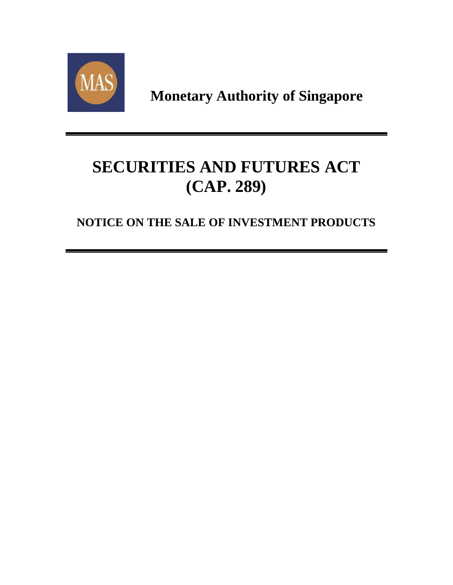

**Monetary Authority of Singapore**

# **SECURITIES AND FUTURES ACT (CAP. 289)**

## **NOTICE ON THE SALE OF INVESTMENT PRODUCTS**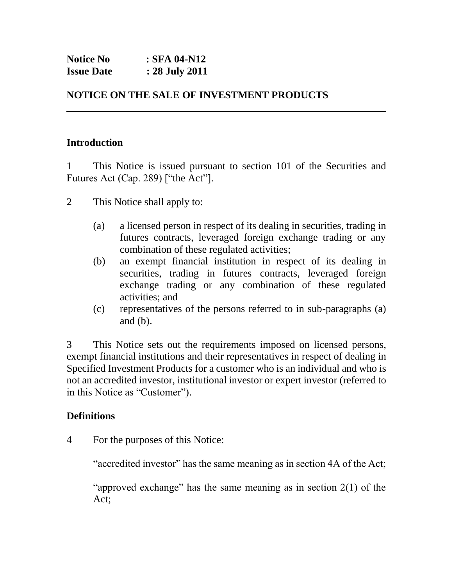| <b>Notice No</b>  | : SFA 04-N12   |
|-------------------|----------------|
| <b>Issue Date</b> | : 28 July 2011 |

### **NOTICE ON THE SALE OF INVESTMENT PRODUCTS**

#### **Introduction**

1 This Notice is issued pursuant to section 101 of the Securities and Futures Act (Cap. 289) ["the Act"].

- 2 This Notice shall apply to:
	- (a) a licensed person in respect of its dealing in securities, trading in futures contracts, leveraged foreign exchange trading or any combination of these regulated activities;
	- (b) an exempt financial institution in respect of its dealing in securities, trading in futures contracts, leveraged foreign exchange trading or any combination of these regulated activities; and
	- (c) representatives of the persons referred to in sub-paragraphs (a) and  $(b)$ .

3 This Notice sets out the requirements imposed on licensed persons, exempt financial institutions and their representatives in respect of dealing in Specified Investment Products for a customer who is an individual and who is not an accredited investor, institutional investor or expert investor (referred to in this Notice as "Customer").

#### **Definitions**

4 For the purposes of this Notice:

"accredited investor" has the same meaning as in section 4A of the Act;

"approved exchange" has the same meaning as in section  $2(1)$  of the Act;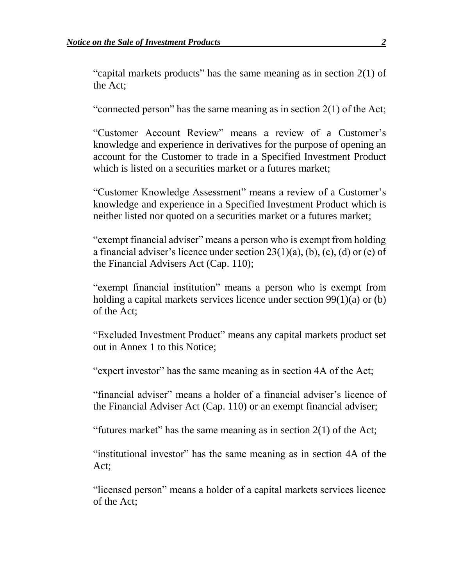"capital markets products" has the same meaning as in section  $2(1)$  of the Act;

"connected person" has the same meaning as in section  $2(1)$  of the Act;

"Customer Account Review" means a review of a Customer's knowledge and experience in derivatives for the purpose of opening an account for the Customer to trade in a Specified Investment Product which is listed on a securities market or a futures market;

"Customer Knowledge Assessment" means a review of a Customer's knowledge and experience in a Specified Investment Product which is neither listed nor quoted on a securities market or a futures market;

"exempt financial adviser" means a person who is exempt from holding a financial adviser's licence under section  $23(1)(a)$ , (b), (c), (d) or (e) of the Financial Advisers Act (Cap. 110);

"exempt financial institution" means a person who is exempt from holding a capital markets services licence under section 99(1)(a) or (b) of the Act;

"Excluded Investment Product" means any capital markets product set out in Annex 1 to this Notice;

"expert investor" has the same meaning as in section 4A of the Act;

"financial adviser" means a holder of a financial adviser's licence of the Financial Adviser Act (Cap. 110) or an exempt financial adviser;

"futures market" has the same meaning as in section  $2(1)$  of the Act;

"institutional investor" has the same meaning as in section 4A of the Act;

"licensed person" means a holder of a capital markets services licence of the Act;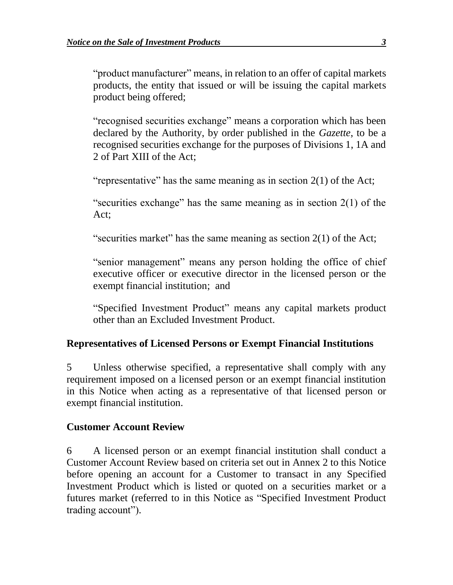"product manufacturer" means, in relation to an offer of capital markets products, the entity that issued or will be issuing the capital markets product being offered;

"recognised securities exchange" means a corporation which has been declared by the Authority, by order published in the *Gazette*, to be a recognised securities exchange for the purposes of Divisions 1, 1A and 2 of Part XIII of the Act;

"representative" has the same meaning as in section 2(1) of the Act;

"securities exchange" has the same meaning as in section  $2(1)$  of the Act;

"securities market" has the same meaning as section 2(1) of the Act;

"senior management" means any person holding the office of chief executive officer or executive director in the licensed person or the exempt financial institution; and

"Specified Investment Product" means any capital markets product other than an Excluded Investment Product.

#### **Representatives of Licensed Persons or Exempt Financial Institutions**

5 Unless otherwise specified, a representative shall comply with any requirement imposed on a licensed person or an exempt financial institution in this Notice when acting as a representative of that licensed person or exempt financial institution.

#### **Customer Account Review**

6 A licensed person or an exempt financial institution shall conduct a Customer Account Review based on criteria set out in Annex 2 to this Notice before opening an account for a Customer to transact in any Specified Investment Product which is listed or quoted on a securities market or a futures market (referred to in this Notice as "Specified Investment Product trading account").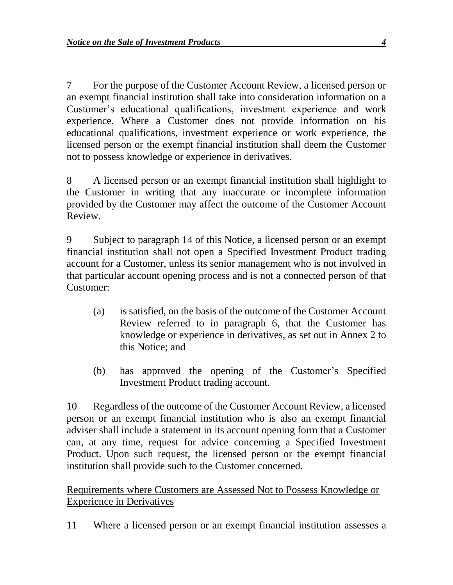7 For the purpose of the Customer Account Review, a licensed person or an exempt financial institution shall take into consideration information on a Customer's educational qualifications, investment experience and work experience. Where a Customer does not provide information on his educational qualifications, investment experience or work experience, the licensed person or the exempt financial institution shall deem the Customer not to possess knowledge or experience in derivatives.

8 A licensed person or an exempt financial institution shall highlight to the Customer in writing that any inaccurate or incomplete information provided by the Customer may affect the outcome of the Customer Account Review.

9 Subject to paragraph 14 of this Notice, a licensed person or an exempt financial institution shall not open a Specified Investment Product trading account for a Customer, unless its senior management who is not involved in that particular account opening process and is not a connected person of that Customer:

- (a) is satisfied, on the basis of the outcome of the Customer Account Review referred to in paragraph 6, that the Customer has knowledge or experience in derivatives, as set out in Annex 2 to this Notice; and
- (b) has approved the opening of the Customer's Specified Investment Product trading account.

10 Regardless of the outcome of the Customer Account Review, a licensed person or an exempt financial institution who is also an exempt financial adviser shall include a statement in its account opening form that a Customer can, at any time, request for advice concerning a Specified Investment Product. Upon such request, the licensed person or the exempt financial institution shall provide such to the Customer concerned.

### Requirements where Customers are Assessed Not to Possess Knowledge or Experience in Derivatives

11 Where a licensed person or an exempt financial institution assesses a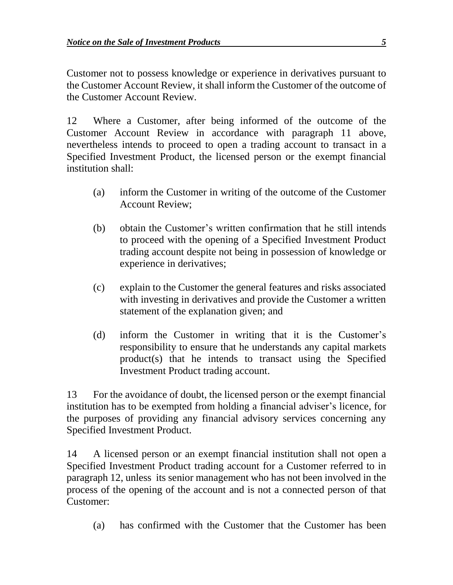Customer not to possess knowledge or experience in derivatives pursuant to the Customer Account Review, it shall inform the Customer of the outcome of the Customer Account Review.

12 Where a Customer, after being informed of the outcome of the Customer Account Review in accordance with paragraph 11 above, nevertheless intends to proceed to open a trading account to transact in a Specified Investment Product, the licensed person or the exempt financial institution shall:

- (a) inform the Customer in writing of the outcome of the Customer Account Review;
- (b) obtain the Customer's written confirmation that he still intends to proceed with the opening of a Specified Investment Product trading account despite not being in possession of knowledge or experience in derivatives;
- (c) explain to the Customer the general features and risks associated with investing in derivatives and provide the Customer a written statement of the explanation given; and
- (d) inform the Customer in writing that it is the Customer's responsibility to ensure that he understands any capital markets product(s) that he intends to transact using the Specified Investment Product trading account.

13 For the avoidance of doubt, the licensed person or the exempt financial institution has to be exempted from holding a financial adviser's licence, for the purposes of providing any financial advisory services concerning any Specified Investment Product.

14 A licensed person or an exempt financial institution shall not open a Specified Investment Product trading account for a Customer referred to in paragraph 12, unless its senior management who has not been involved in the process of the opening of the account and is not a connected person of that Customer:

(a) has confirmed with the Customer that the Customer has been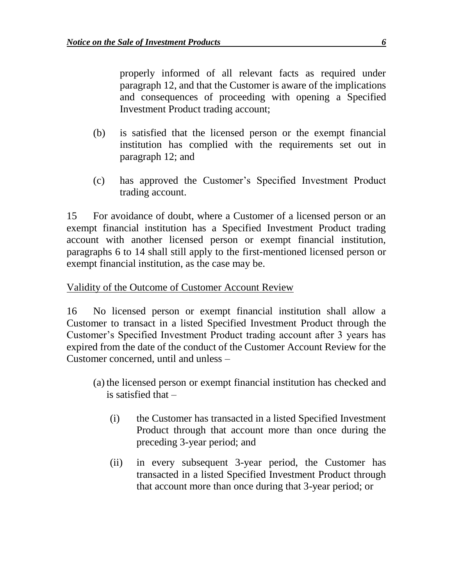properly informed of all relevant facts as required under paragraph 12, and that the Customer is aware of the implications and consequences of proceeding with opening a Specified Investment Product trading account;

- (b) is satisfied that the licensed person or the exempt financial institution has complied with the requirements set out in paragraph 12; and
- (c) has approved the Customer's Specified Investment Product trading account.

15 For avoidance of doubt, where a Customer of a licensed person or an exempt financial institution has a Specified Investment Product trading account with another licensed person or exempt financial institution, paragraphs 6 to 14 shall still apply to the first-mentioned licensed person or exempt financial institution, as the case may be.

#### Validity of the Outcome of Customer Account Review

16 No licensed person or exempt financial institution shall allow a Customer to transact in a listed Specified Investment Product through the Customer's Specified Investment Product trading account after 3 years has expired from the date of the conduct of the Customer Account Review for the Customer concerned, until and unless –

- (a) the licensed person or exempt financial institution has checked and is satisfied that –
	- (i) the Customer has transacted in a listed Specified Investment Product through that account more than once during the preceding 3-year period; and
	- (ii) in every subsequent 3-year period, the Customer has transacted in a listed Specified Investment Product through that account more than once during that 3-year period; or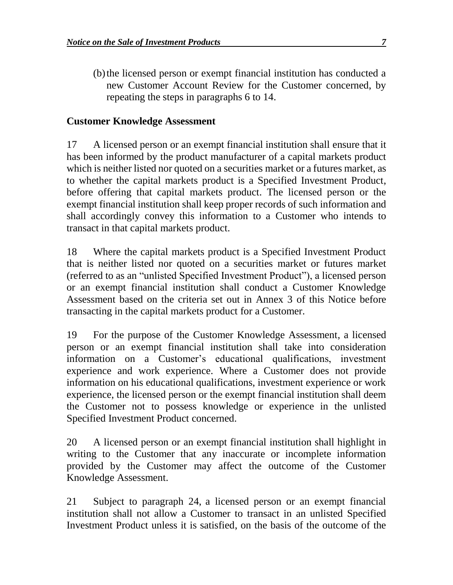(b)the licensed person or exempt financial institution has conducted a new Customer Account Review for the Customer concerned, by repeating the steps in paragraphs 6 to 14.

#### **Customer Knowledge Assessment**

17 A licensed person or an exempt financial institution shall ensure that it has been informed by the product manufacturer of a capital markets product which is neither listed nor quoted on a securities market or a futures market, as to whether the capital markets product is a Specified Investment Product, before offering that capital markets product. The licensed person or the exempt financial institution shall keep proper records of such information and shall accordingly convey this information to a Customer who intends to transact in that capital markets product.

18 Where the capital markets product is a Specified Investment Product that is neither listed nor quoted on a securities market or futures market (referred to as an "unlisted Specified Investment Product"), a licensed person or an exempt financial institution shall conduct a Customer Knowledge Assessment based on the criteria set out in Annex 3 of this Notice before transacting in the capital markets product for a Customer.

19 For the purpose of the Customer Knowledge Assessment, a licensed person or an exempt financial institution shall take into consideration information on a Customer's educational qualifications, investment experience and work experience. Where a Customer does not provide information on his educational qualifications, investment experience or work experience, the licensed person or the exempt financial institution shall deem the Customer not to possess knowledge or experience in the unlisted Specified Investment Product concerned.

20 A licensed person or an exempt financial institution shall highlight in writing to the Customer that any inaccurate or incomplete information provided by the Customer may affect the outcome of the Customer Knowledge Assessment.

21 Subject to paragraph 24, a licensed person or an exempt financial institution shall not allow a Customer to transact in an unlisted Specified Investment Product unless it is satisfied, on the basis of the outcome of the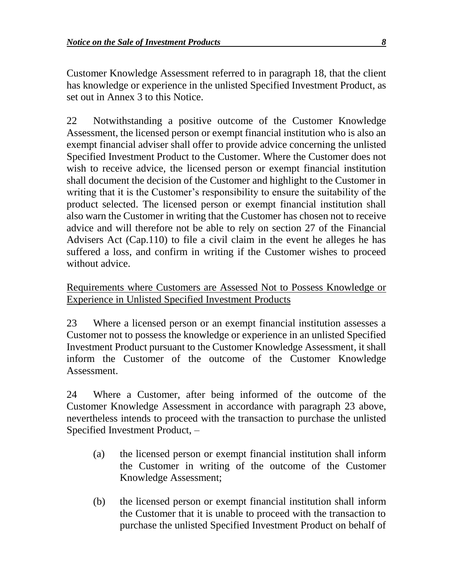Customer Knowledge Assessment referred to in paragraph 18, that the client has knowledge or experience in the unlisted Specified Investment Product, as set out in Annex 3 to this Notice.

22 Notwithstanding a positive outcome of the Customer Knowledge Assessment, the licensed person or exempt financial institution who is also an exempt financial adviser shall offer to provide advice concerning the unlisted Specified Investment Product to the Customer. Where the Customer does not wish to receive advice, the licensed person or exempt financial institution shall document the decision of the Customer and highlight to the Customer in writing that it is the Customer's responsibility to ensure the suitability of the product selected. The licensed person or exempt financial institution shall also warn the Customer in writing that the Customer has chosen not to receive advice and will therefore not be able to rely on section 27 of the Financial Advisers Act (Cap.110) to file a civil claim in the event he alleges he has suffered a loss, and confirm in writing if the Customer wishes to proceed without advice.

#### Requirements where Customers are Assessed Not to Possess Knowledge or Experience in Unlisted Specified Investment Products

23 Where a licensed person or an exempt financial institution assesses a Customer not to possess the knowledge or experience in an unlisted Specified Investment Product pursuant to the Customer Knowledge Assessment, it shall inform the Customer of the outcome of the Customer Knowledge Assessment.

24 Where a Customer, after being informed of the outcome of the Customer Knowledge Assessment in accordance with paragraph 23 above, nevertheless intends to proceed with the transaction to purchase the unlisted Specified Investment Product, –

- (a) the licensed person or exempt financial institution shall inform the Customer in writing of the outcome of the Customer Knowledge Assessment;
- (b) the licensed person or exempt financial institution shall inform the Customer that it is unable to proceed with the transaction to purchase the unlisted Specified Investment Product on behalf of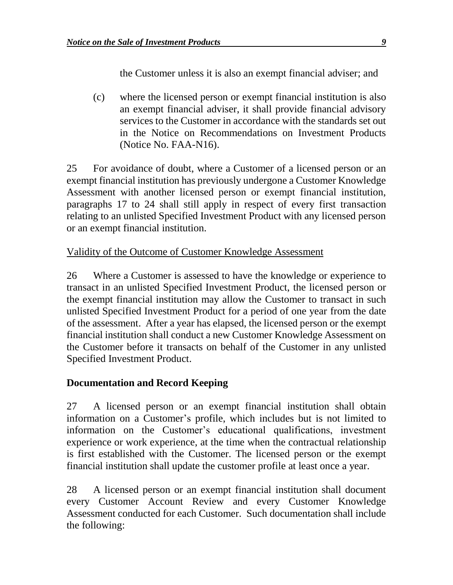the Customer unless it is also an exempt financial adviser; and

(c) where the licensed person or exempt financial institution is also an exempt financial adviser, it shall provide financial advisory services to the Customer in accordance with the standards set out in the Notice on Recommendations on Investment Products (Notice No. FAA-N16).

25 For avoidance of doubt, where a Customer of a licensed person or an exempt financial institution has previously undergone a Customer Knowledge Assessment with another licensed person or exempt financial institution, paragraphs 17 to 24 shall still apply in respect of every first transaction relating to an unlisted Specified Investment Product with any licensed person or an exempt financial institution.

### Validity of the Outcome of Customer Knowledge Assessment

26 Where a Customer is assessed to have the knowledge or experience to transact in an unlisted Specified Investment Product, the licensed person or the exempt financial institution may allow the Customer to transact in such unlisted Specified Investment Product for a period of one year from the date of the assessment. After a year has elapsed, the licensed person or the exempt financial institution shall conduct a new Customer Knowledge Assessment on the Customer before it transacts on behalf of the Customer in any unlisted Specified Investment Product.

#### **Documentation and Record Keeping**

27 A licensed person or an exempt financial institution shall obtain information on a Customer's profile, which includes but is not limited to information on the Customer's educational qualifications, investment experience or work experience, at the time when the contractual relationship is first established with the Customer. The licensed person or the exempt financial institution shall update the customer profile at least once a year.

28 A licensed person or an exempt financial institution shall document every Customer Account Review and every Customer Knowledge Assessment conducted for each Customer. Such documentation shall include the following: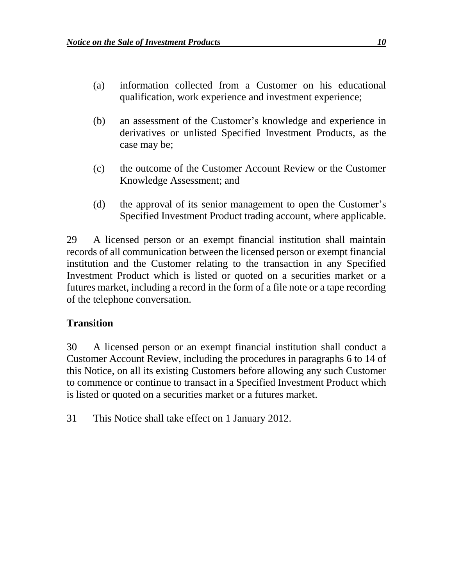- (a) information collected from a Customer on his educational qualification, work experience and investment experience;
- (b) an assessment of the Customer's knowledge and experience in derivatives or unlisted Specified Investment Products, as the case may be;
- (c) the outcome of the Customer Account Review or the Customer Knowledge Assessment; and
- (d) the approval of its senior management to open the Customer's Specified Investment Product trading account, where applicable.

29 A licensed person or an exempt financial institution shall maintain records of all communication between the licensed person or exempt financial institution and the Customer relating to the transaction in any Specified Investment Product which is listed or quoted on a securities market or a futures market, including a record in the form of a file note or a tape recording of the telephone conversation.

### **Transition**

30 A licensed person or an exempt financial institution shall conduct a Customer Account Review, including the procedures in paragraphs 6 to 14 of this Notice, on all its existing Customers before allowing any such Customer to commence or continue to transact in a Specified Investment Product which is listed or quoted on a securities market or a futures market.

31 This Notice shall take effect on 1 January 2012.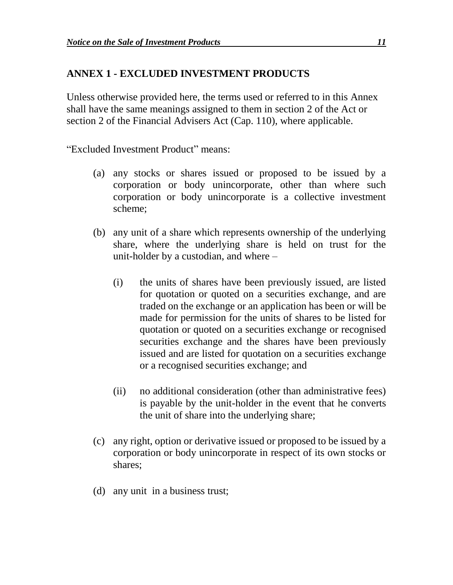#### **ANNEX 1 - EXCLUDED INVESTMENT PRODUCTS**

Unless otherwise provided here, the terms used or referred to in this Annex shall have the same meanings assigned to them in section 2 of the Act or section 2 of the Financial Advisers Act (Cap. 110), where applicable.

"Excluded Investment Product" means:

- (a) any stocks or shares issued or proposed to be issued by a corporation or body unincorporate, other than where such corporation or body unincorporate is a collective investment scheme;
- (b) any unit of a share which represents ownership of the underlying share, where the underlying share is held on trust for the unit-holder by a custodian, and where –
	- (i) the units of shares have been previously issued, are listed for quotation or quoted on a securities exchange, and are traded on the exchange or an application has been or will be made for permission for the units of shares to be listed for quotation or quoted on a securities exchange or recognised securities exchange and the shares have been previously issued and are listed for quotation on a securities exchange or a recognised securities exchange; and
	- (ii) no additional consideration (other than administrative fees) is payable by the unit-holder in the event that he converts the unit of share into the underlying share;
- (c) any right, option or derivative issued or proposed to be issued by a corporation or body unincorporate in respect of its own stocks or shares;
- (d) any unit in a business trust;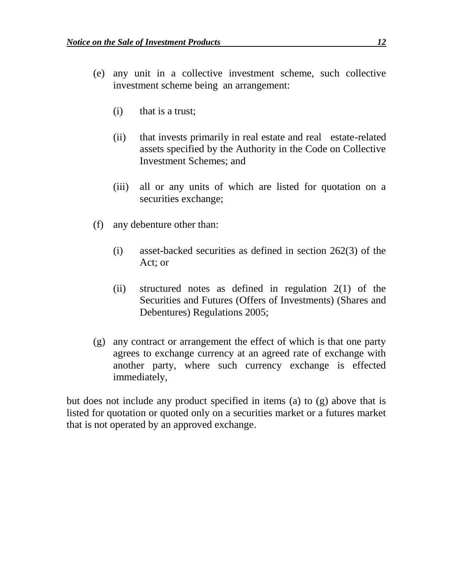- (e) any unit in a collective investment scheme, such collective investment scheme being an arrangement:
	- (i) that is a trust;
	- (ii) that invests primarily in real estate and real estate-related assets specified by the Authority in the Code on Collective Investment Schemes; and
	- (iii) all or any units of which are listed for quotation on a securities exchange;
- (f) any debenture other than:
	- (i) asset-backed securities as defined in section 262(3) of the Act; or
	- (ii) structured notes as defined in regulation 2(1) of the Securities and Futures (Offers of Investments) (Shares and Debentures) Regulations 2005;
- (g) any contract or arrangement the effect of which is that one party agrees to exchange currency at an agreed rate of exchange with another party, where such currency exchange is effected immediately,

but does not include any product specified in items (a) to (g) above that is listed for quotation or quoted only on a securities market or a futures market that is not operated by an approved exchange.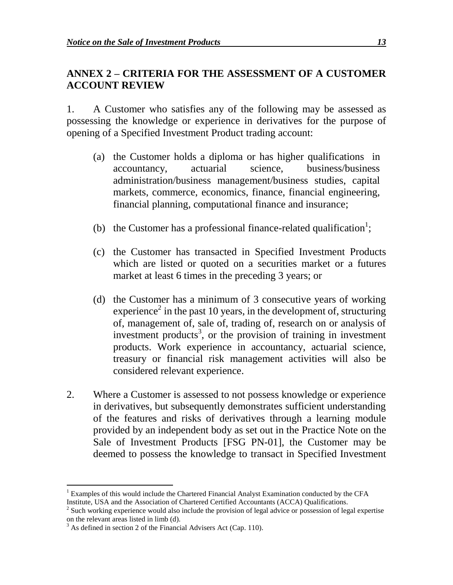### **ANNEX 2 – CRITERIA FOR THE ASSESSMENT OF A CUSTOMER ACCOUNT REVIEW**

1. A Customer who satisfies any of the following may be assessed as possessing the knowledge or experience in derivatives for the purpose of opening of a Specified Investment Product trading account:

- (a) the Customer holds a diploma or has higher qualifications in accountancy, actuarial science, business/business administration/business management/business studies, capital markets, commerce, economics, finance, financial engineering, financial planning, computational finance and insurance;
- (b) the Customer has a professional finance-related qualification<sup>1</sup>;
- (c) the Customer has transacted in Specified Investment Products which are listed or quoted on a securities market or a futures market at least 6 times in the preceding 3 years; or
- (d) the Customer has a minimum of 3 consecutive years of working experience<sup>2</sup> in the past 10 years, in the development of, structuring of, management of, sale of, trading of, research on or analysis of investment products<sup>3</sup>, or the provision of training in investment products. Work experience in accountancy, actuarial science, treasury or financial risk management activities will also be considered relevant experience.
- 2. Where a Customer is assessed to not possess knowledge or experience in derivatives, but subsequently demonstrates sufficient understanding of the features and risks of derivatives through a learning module provided by an independent body as set out in the Practice Note on the Sale of Investment Products [FSG PN-01], the Customer may be deemed to possess the knowledge to transact in Specified Investment

 $\overline{a}$ <sup>1</sup> Examples of this would include the Chartered Financial Analyst Examination conducted by the CFA Institute, USA and the Association of Chartered Certified Accountants (ACCA) Qualifications.

 $2^{2}$  Such working experience would also include the provision of legal advice or possession of legal expertise on the relevant areas listed in limb (d).

 $3$  As defined in section 2 of the Financial Advisers Act (Cap. 110).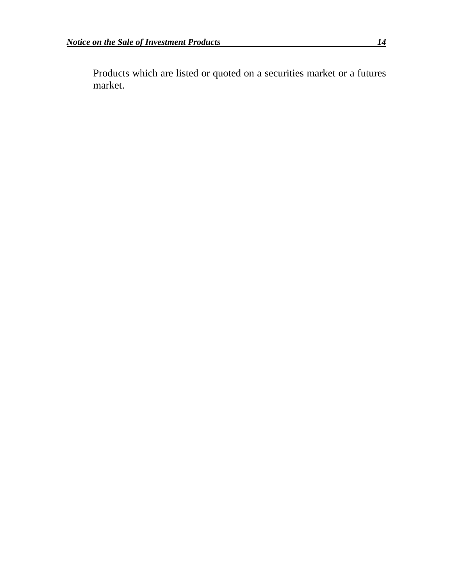Products which are listed or quoted on a securities market or a futures market.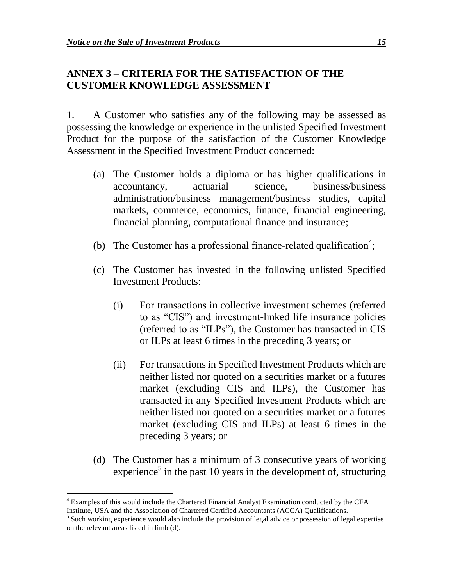#### **ANNEX 3 – CRITERIA FOR THE SATISFACTION OF THE CUSTOMER KNOWLEDGE ASSESSMENT**

1. A Customer who satisfies any of the following may be assessed as possessing the knowledge or experience in the unlisted Specified Investment Product for the purpose of the satisfaction of the Customer Knowledge Assessment in the Specified Investment Product concerned:

- (a) The Customer holds a diploma or has higher qualifications in accountancy, actuarial science, business/business administration/business management/business studies, capital markets, commerce, economics, finance, financial engineering, financial planning, computational finance and insurance;
- (b) The Customer has a professional finance-related qualification<sup>4</sup>;
- (c) The Customer has invested in the following unlisted Specified Investment Products:
	- (i) For transactions in collective investment schemes (referred to as "CIS") and investment-linked life insurance policies (referred to as "ILPs"), the Customer has transacted in CIS or ILPs at least 6 times in the preceding 3 years; or
	- (ii) For transactions in Specified Investment Products which are neither listed nor quoted on a securities market or a futures market (excluding CIS and ILPs), the Customer has transacted in any Specified Investment Products which are neither listed nor quoted on a securities market or a futures market (excluding CIS and ILPs) at least 6 times in the preceding 3 years; or
- (d) The Customer has a minimum of 3 consecutive years of working experience<sup>5</sup> in the past 10 years in the development of, structuring

 $\overline{a}$ 

<sup>4</sup> Examples of this would include the Chartered Financial Analyst Examination conducted by the CFA Institute, USA and the Association of Chartered Certified Accountants (ACCA) Qualifications.

<sup>&</sup>lt;sup>5</sup> Such working experience would also include the provision of legal advice or possession of legal expertise on the relevant areas listed in limb (d).